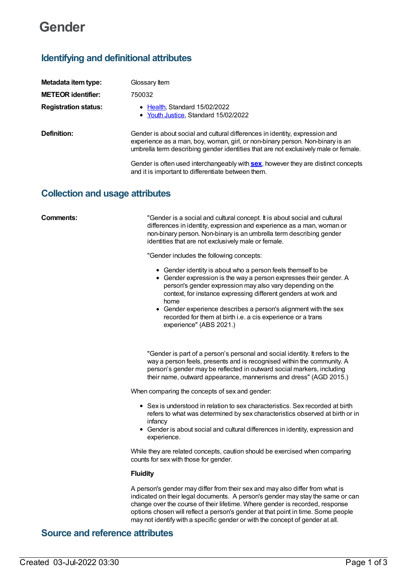# **Gender**

## **Identifying and definitional attributes**

| Metadata item type:         | Glossary Item                                                                                                                                                                                                                                       |
|-----------------------------|-----------------------------------------------------------------------------------------------------------------------------------------------------------------------------------------------------------------------------------------------------|
| <b>METEOR identifier:</b>   | 750032                                                                                                                                                                                                                                              |
| <b>Registration status:</b> | • Health, Standard 15/02/2022<br>• Youth Justice, Standard 15/02/2022                                                                                                                                                                               |
| Definition:                 | Gender is about social and cultural differences in identity, expression and<br>experience as a man, boy, woman, girl, or non-binary person. Non-binary is an<br>umbrella term describing gender identities that are not exclusively male or female. |
|                             | Gender is often used interchangeably with <b>sex</b> , however they are distinct concepts<br>and it is important to differentiate between them.                                                                                                     |

## **Collection and usage attributes**

**Comments:** "Gender is a social and cultural concept. It is about social and cultural differences in identity, expression and experience as a man, woman or non-binary person. Non-binary is an umbrella term describing gender identities that are not exclusively male or female.

"Gender includes the following concepts:

- Gender identity is about who a person feels themself to be
- Gender expression is the way a person expresses their gender. A person's gender expression may also vary depending on the context, for instance expressing different genders at work and home
- Gender experience describes a person's alignment with the sex recorded for them at birth i.e. a cis experience or a trans experience" (ABS 2021.)

"Gender is part of a person's personal and social identity. It refers to the way a person feels, presents and is recognised within the community. A person's gender may be reflected in outward social markers, including their name, outward appearance, mannerisms and dress" (AGD 2015.)

When comparing the concepts of sex and gender:

- Sex is understood in relation to sex characteristics. Sex recorded at birth refers to what was determined by sex characteristics observed at birth or in infancy
- Gender is about social and cultural differences in identity, expression and experience.

While they are related concepts, caution should be exercised when comparing counts for sex with those for gender.

#### **Fluidity**

A person's gender may differ from their sex and may also differ from what is indicated on their legal documents. A person's gender may stay the same or can change over the course of their lifetime. Where gender is recorded, response options chosen will reflect a person's gender at that point in time. Some people may not identify with a specific gender or with the concept of gender at all.

## **Source and reference attributes**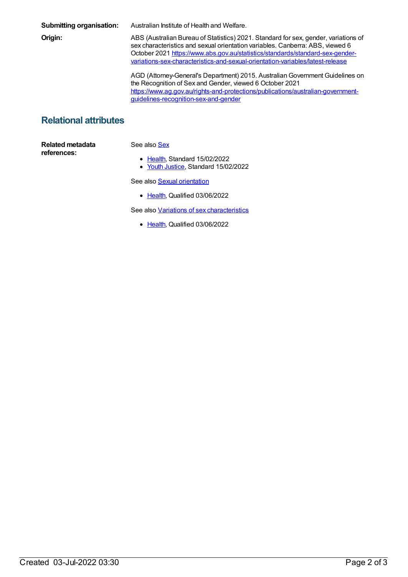**Submitting organisation:** Australian Institute of Health and Welfare. **Origin:** ABS (Australian Bureau of Statistics) 2021. Standard for sex, gender, variations of sex characteristics and sexual orientation variables. Canberra: ABS, viewed 6 October 2021 https://www.abs.gov.au/statistics/standards/standard-sex-gender[variations-sex-characteristics-and-sexual-orientation-variables/latest-release](https://www.abs.gov.au/statistics/standards/standard-sex-gender-variations-sex-characteristics-and-sexual-orientation-variables/latest-release) AGD (Attorney-General's Department) 2015. AustralianGovernment Guidelines on the Recognition of Sex and Gender, viewed 6 October 2021 [https://www.ag.gov.au/rights-and-protections/publications/australian-government](https://www.ag.gov.au/rights-and-protections/publications/australian-government-guidelines-recognition-sex-and-gender)guidelines-recognition-sex-and-gender

## **Relational attributes**

**Related metadata references:**

#### See also **[Sex](https://meteor.aihw.gov.au/content/750030)**

- [Health](https://meteor.aihw.gov.au/RegistrationAuthority/12), Standard 15/02/2022
- Youth [Justice](https://meteor.aihw.gov.au/RegistrationAuthority/4), Standard 15/02/2022

See also **Sexual [orientation](https://meteor.aihw.gov.au/content/755634)** 

• [Health](https://meteor.aihw.gov.au/RegistrationAuthority/12), Qualified 03/06/2022

See also Variations of sex [characteristics](https://meteor.aihw.gov.au/content/757670)

• [Health](https://meteor.aihw.gov.au/RegistrationAuthority/12), Qualified 03/06/2022